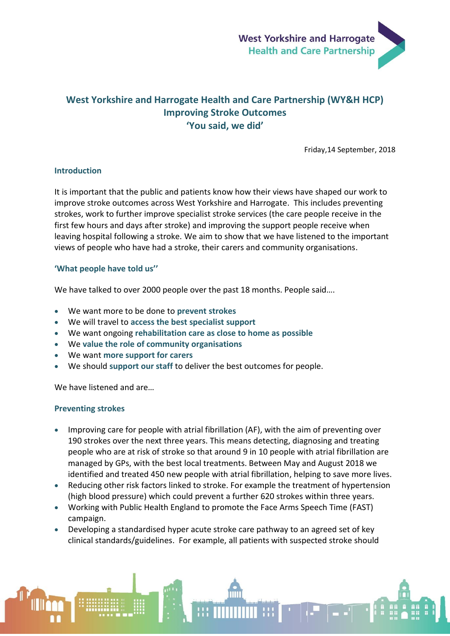

# **West Yorkshire and Harrogate Health and Care Partnership (WY&H HCP) Improving Stroke Outcomes 'You said, we did'**

Friday,14 September, 2018

### **Introduction**

It is important that the public and patients know how their views have shaped our work to improve stroke outcomes across West Yorkshire and Harrogate. This includes preventing strokes, work to further improve specialist stroke services (the care people receive in the first few hours and days after stroke) and improving the support people receive when leaving hospital following a stroke. We aim to show that we have listened to the important views of people who have had a stroke, their carers and community organisations.

## **'What people have told us''**

We have talked to over 2000 people over the past 18 months. People said....

- We want more to be done to **prevent strokes**
- We will travel to **access the best specialist support**
- We want ongoing **rehabilitation care as close to home as possible**
- We **value the role of community organisations**
- We want **more support for carers**
- We should **support our staff** to deliver the best outcomes for people.

We have listened and are…

### **Preventing strokes**

- Improving care for people with atrial fibrillation (AF), with the aim of preventing over 190 strokes over the next three years. This means detecting, diagnosing and treating people who are at risk of stroke so that around 9 in 10 people with atrial fibrillation are managed by GPs, with the best local treatments. Between May and August 2018 we identified and treated 450 new people with atrial fibrillation, helping to save more lives.
- Reducing other risk factors linked to stroke. For example the treatment of hypertension (high blood pressure) which could prevent a further 620 strokes within three years.
- Working with Public Health England to promote the Face Arms Speech Time (FAST) campaign.
- Developing a standardised hyper acute stroke care pathway to an agreed set of key clinical standards/guidelines. For example, all patients with suspected stroke should

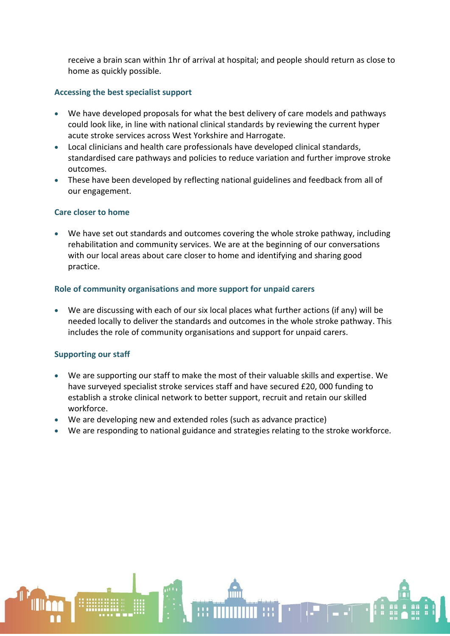receive a brain scan within 1hr of arrival at hospital; and people should return as close to home as quickly possible.

## **Accessing the best specialist support**

- We have developed proposals for what the best delivery of care models and pathways could look like, in line with national clinical standards by reviewing the current hyper acute stroke services across West Yorkshire and Harrogate.
- Local clinicians and health care professionals have developed clinical standards, standardised care pathways and policies to reduce variation and further improve stroke outcomes.
- These have been developed by reflecting national guidelines and feedback from all of our engagement.

### **Care closer to home**

 We have set out standards and outcomes covering the whole stroke pathway, including rehabilitation and community services. We are at the beginning of our conversations with our local areas about care closer to home and identifying and sharing good practice.

## **Role of community organisations and more support for unpaid carers**

 We are discussing with each of our six local places what further actions (if any) will be needed locally to deliver the standards and outcomes in the whole stroke pathway. This includes the role of community organisations and support for unpaid carers.

### **Supporting our staff**

- We are supporting our staff to make the most of their valuable skills and expertise. We have surveyed specialist stroke services staff and have secured £20, 000 funding to establish a stroke clinical network to better support, recruit and retain our skilled workforce.
- We are developing new and extended roles (such as advance practice)
- We are responding to national guidance and strategies relating to the stroke workforce.

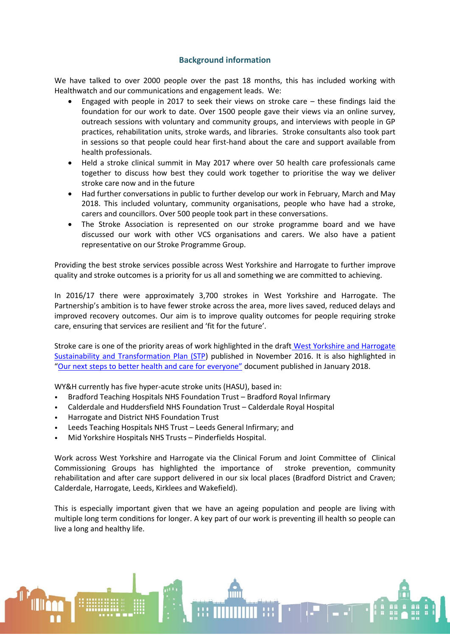## **Background information**

We have talked to over 2000 people over the past 18 months, this has included working with Healthwatch and our communications and engagement leads. We:

- Engaged with people in 2017 to seek their views on stroke care these findings laid the foundation for our work to date. Over 1500 people gave their views via an online survey, outreach sessions with voluntary and community groups, and interviews with people in GP practices, rehabilitation units, stroke wards, and libraries. Stroke consultants also took part in sessions so that people could hear first-hand about the care and support available from health professionals.
- Held a stroke clinical summit in May 2017 where over 50 health care professionals came together to discuss how best they could work together to prioritise the way we deliver stroke care now and in the future
- Had further conversations in public to further develop our work in February, March and May 2018. This included voluntary, community organisations, people who have had a stroke, carers and councillors. Over 500 people took part in these conversations.
- The Stroke Association is represented on our stroke programme board and we have discussed our work with other VCS organisations and carers. We also have a patient representative on our Stroke Programme Group.

Providing the best stroke services possible across West Yorkshire and Harrogate to further improve quality and stroke outcomes is a priority for us all and something we are committed to achieving.

In 2016/17 there were approximately 3,700 strokes in West Yorkshire and Harrogate. The Partnership's ambition is to have fewer stroke across the area, more lives saved, reduced delays and improved recovery outcomes. Our aim is to improve quality outcomes for people requiring stroke care, ensuring that services are resilient and 'fit for the future'.

Stroke care is one of the priority areas of work highlighted in the draft West Yorkshire and Harrogate [Sustainability and Transformation Plan \(STP\)](https://www.wyhpartnership.co.uk/application/files/7315/0184/5403/Final-draft-submission-plan.pdf) published in November 2016. It is also highlighted in "[Our next steps to better health and care for](https://www.wyhpartnership.co.uk/next-steps) everyone" document published in January 2018.

WY&H currently has five hyper-acute stroke units (HASU), based in:

- Bradford Teaching Hospitals NHS Foundation Trust Bradford Royal Infirmary
- Calderdale and Huddersfield NHS Foundation Trust Calderdale Royal Hospital
- Harrogate and District NHS Foundation Trust
- Leeds Teaching Hospitals NHS Trust Leeds General Infirmary; and
- Mid Yorkshire Hospitals NHS Trusts Pinderfields Hospital.

Work across West Yorkshire and Harrogate via the Clinical Forum and Joint Committee of Clinical Commissioning Groups has highlighted the importance of stroke prevention, community rehabilitation and after care support delivered in our six local places (Bradford District and Craven; Calderdale, Harrogate, Leeds, Kirklees and Wakefield).

This is especially important given that we have an ageing population and people are living with multiple long term conditions for longer. A key part of our work is preventing ill health so people can live a long and healthy life.